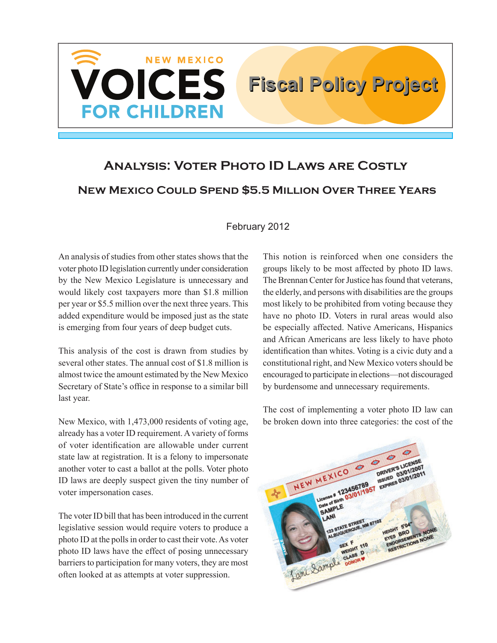

# **Analysis: Voter Photo ID Laws are Costly New Mexico Could Spend \$5.5 Million Over Three Years**

#### February 2012

An analysis of studies from other states shows that the voter photo ID legislation currently under consideration by the New Mexico Legislature is unnecessary and would likely cost taxpayers more than \$1.8 million per year or \$5.5 million over the next three years. This added expenditure would be imposed just as the state is emerging from four years of deep budget cuts.

This analysis of the cost is drawn from studies by several other states. The annual cost of \$1.8 million is almost twice the amount estimated by the New Mexico Secretary of State's office in response to a similar bill last year.

New Mexico, with 1,473,000 residents of voting age, already has a voter ID requirement. A variety of forms of voter identification are allowable under current state law at registration. It is a felony to impersonate another voter to cast a ballot at the polls. Voter photo ID laws are deeply suspect given the tiny number of voter impersonation cases.

The voter ID bill that has been introduced in the current legislative session would require voters to produce a photo ID at the polls in order to cast their vote. As voter photo ID laws have the effect of posing unnecessary barriers to participation for many voters, they are most often looked at as attempts at voter suppression.

This notion is reinforced when one considers the groups likely to be most affected by photo ID laws. The Brennan Center for Justice has found that veterans, the elderly, and persons with disabilities are the groups most likely to be prohibited from voting because they have no photo ID. Voters in rural areas would also be especially affected. Native Americans, Hispanics and African Americans are less likely to have photo identification than whites. Voting is a civic duty and a constitutional right, and New Mexico voters should be encouraged to participate in elections—not discouraged by burdensome and unnecessary requirements.

The cost of implementing a voter photo ID law can be broken down into three categories: the cost of the

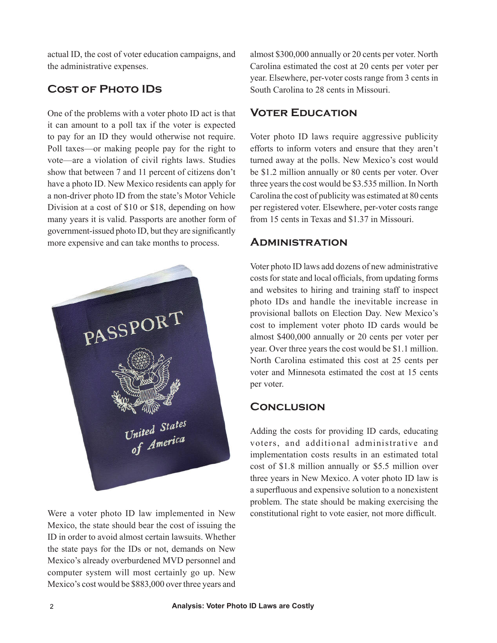actual ID, the cost of voter education campaigns, and the administrative expenses.

# **Cost of Photo IDs**

One of the problems with a voter photo ID act is that it can amount to a poll tax if the voter is expected to pay for an ID they would otherwise not require. Poll taxes—or making people pay for the right to vote—are a violation of civil rights laws. Studies show that between 7 and 11 percent of citizens don't have a photo ID. New Mexico residents can apply for a non-driver photo ID from the state's Motor Vehicle Division at a cost of \$10 or \$18, depending on how many years it is valid. Passports are another form of government-issued photo ID, but they are significantly more expensive and can take months to process.



Were a voter photo ID law implemented in New Mexico, the state should bear the cost of issuing the ID in order to avoid almost certain lawsuits. Whether the state pays for the IDs or not, demands on New Mexico's already overburdened MVD personnel and computer system will most certainly go up. New Mexico's cost would be \$883,000 over three years and almost \$300,000 annually or 20 cents per voter. North Carolina estimated the cost at 20 cents per voter per year. Elsewhere, per-voter costs range from 3 cents in South Carolina to 28 cents in Missouri.

#### **Voter Education**

Voter photo ID laws require aggressive publicity efforts to inform voters and ensure that they aren't turned away at the polls. New Mexico's cost would be \$1.2 million annually or 80 cents per voter. Over three years the cost would be \$3.535 million. In North Carolina the cost of publicity was estimated at 80 cents per registered voter. Elsewhere, per-voter costs range from 15 cents in Texas and \$1.37 in Missouri.

#### **Administration**

Voter photo ID laws add dozens of new administrative costs for state and local officials, from updating forms and websites to hiring and training staff to inspect photo IDs and handle the inevitable increase in provisional ballots on Election Day. New Mexico's cost to implement voter photo ID cards would be almost \$400,000 annually or 20 cents per voter per year. Over three years the cost would be \$1.1 million. North Carolina estimated this cost at 25 cents per voter and Minnesota estimated the cost at 15 cents per voter.

## **Conclusion**

Adding the costs for providing ID cards, educating voters, and additional administrative and implementation costs results in an estimated total cost of \$1.8 million annually or \$5.5 million over three years in New Mexico. A voter photo ID law is a superfluous and expensive solution to a nonexistent problem. The state should be making exercising the constitutional right to vote easier, not more difficult.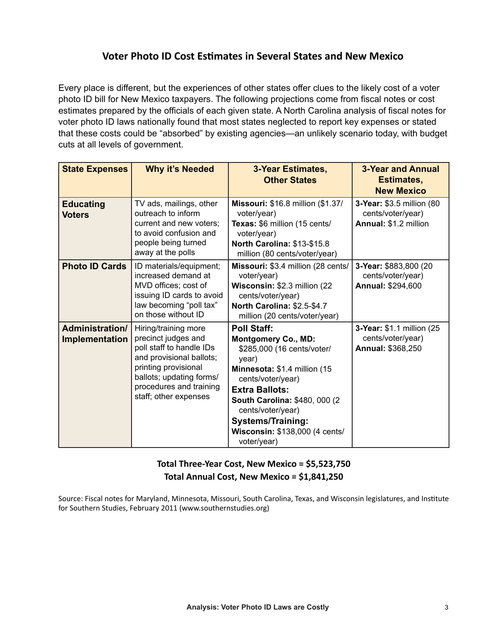## **Voter Photo ID Cost Estimates in Several States and New Mexico**

Every place is different, but the experiences of other states offer clues to the likely cost of a voter photo ID bill for New Mexico taxpayers. The following projections come from fiscal notes or cost estimates prepared by the officials of each given state. A North Carolina analysis of fiscal notes for voter photo ID laws nationally found that most states neglected to report key expenses or stated that these costs could be "absorbed" by existing agencies—an unlikely scenario today, with budget cuts at all levels of government.

| <b>State Expenses</b>             | <b>Why it's Needed</b>                                                                                                                                                                                      | <b>3-Year Estimates,</b><br><b>Other States</b>                                                                                                                                                                                                                                                           | <b>3-Year and Annual</b><br>Estimates,<br><b>New Mexico</b>             |
|-----------------------------------|-------------------------------------------------------------------------------------------------------------------------------------------------------------------------------------------------------------|-----------------------------------------------------------------------------------------------------------------------------------------------------------------------------------------------------------------------------------------------------------------------------------------------------------|-------------------------------------------------------------------------|
| <b>Educating</b><br><b>Voters</b> | TV ads, mailings, other<br>outreach to inform<br>current and new voters;<br>to avoid confusion and<br>people being turned<br>away at the polls                                                              | <b>Missouri: \$16.8 million (\$1.37/</b><br>voter/year)<br>Texas: \$6 million (15 cents/<br>voter/year)<br>North Carolina: \$13-\$15.8<br>million (80 cents/voter/year)                                                                                                                                   | 3-Year: \$3.5 million (80<br>cents/voter/year)<br>Annual: \$1.2 million |
| <b>Photo ID Cards</b>             | ID materials/equipment;<br>increased demand at<br>MVD offices; cost of<br>issuing ID cards to avoid<br>law becoming "poll tax"<br>on those without ID                                                       | Missouri: \$3.4 million (28 cents/<br>voter/year)<br>Wisconsin: \$2.3 million (22)<br>cents/voter/year)<br>North Carolina: \$2.5-\$4.7<br>million (20 cents/voter/year)                                                                                                                                   | 3-Year: \$883,800 (20<br>cents/voter/year)<br>Annual: \$294,600         |
| Administration/<br>Implementation | Hiring/training more<br>precinct judges and<br>poll staff to handle IDs<br>and provisional ballots;<br>printing provisional<br>ballots; updating forms/<br>procedures and training<br>staff; other expenses | <b>Poll Staff:</b><br><b>Montgomery Co., MD:</b><br>\$285,000 (16 cents/voter/<br>year)<br>Minnesota: \$1.4 million (15<br>cents/voter/year)<br><b>Extra Ballots:</b><br>South Carolina: \$480, 000 (2)<br>cents/voter/year)<br><b>Systems/Training:</b><br>Wisconsin: \$138,000 (4 cents/<br>voter/year) | 3-Year: \$1.1 million (25<br>cents/voter/year)<br>Annual: \$368,250     |

#### **Total Three-Year Cost, New Mexico = \$5,523,750 Total Annual Cost, New Mexico = \$1,841,250**

Source: Fiscal notes for Maryland, Minnesota, Missouri, South Carolina, Texas, and Wisconsin legislatures, and Institute for Southern Studies, February 2011 (www.southernstudies.org)